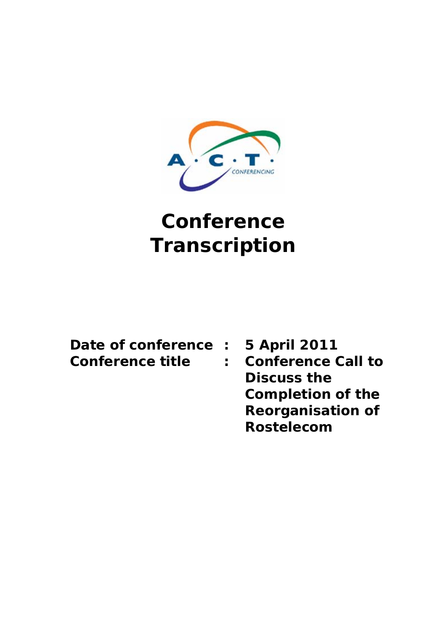

# **Conference Transcription**

| Date of conference |
|--------------------|
| Conference title   |

**: 5 April 2011 :** Conference Call to **Discuss the Completion of the Reorganisation of Rostelecom**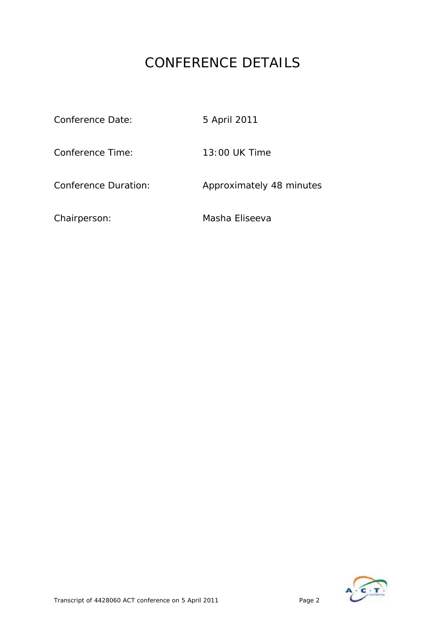## CONFERENCE DETAILS

| Conference Date:            | 5 April 2011             |
|-----------------------------|--------------------------|
| Conference Time:            | 13:00 UK Time            |
| <b>Conference Duration:</b> | Approximately 48 minutes |
| Chairperson:                | Masha Eliseeva           |

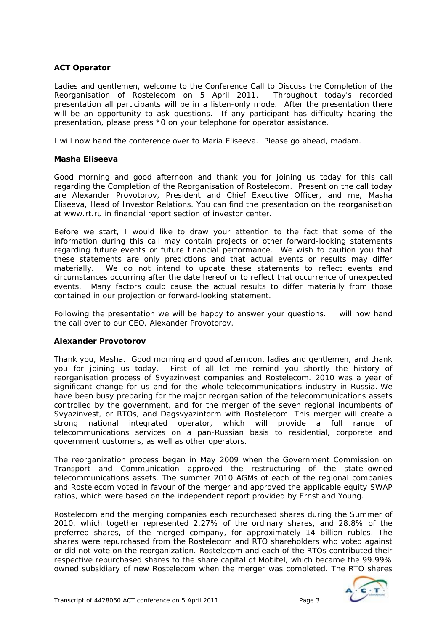## **ACT Operator**

Ladies and gentlemen, welcome to the Conference Call to Discuss the Completion of the Reorganisation of Rostelecom on 5 April 2011. Throughout today's recorded presentation all participants will be in a listen-only mode. After the presentation there will be an opportunity to ask questions. If any participant has difficulty hearing the presentation, please press \*0 on your telephone for operator assistance.

I will now hand the conference over to Maria Eliseeva. Please go ahead, madam.

## **Masha Eliseeva**

Good morning and good afternoon and thank you for joining us today for this call regarding the Completion of the Reorganisation of Rostelecom. Present on the call today are Alexander Provotorov, President and Chief Executive Officer, and me, Masha Eliseeva, Head of Investor Relations. You can find the presentation on the reorganisation at www.rt.ru in financial report section of investor center.

Before we start, I would like to draw your attention to the fact that some of the information during this call may contain projects or other forward-looking statements regarding future events or future financial performance. We wish to caution you that these statements are only predictions and that actual events or results may differ materially. We do not intend to update these statements to reflect events and circumstances occurring after the date hereof or to reflect that occurrence of unexpected events. Many factors could cause the actual results to differ materially from those contained in our projection or forward-looking statement.

Following the presentation we will be happy to answer your questions. I will now hand the call over to our CEO, Alexander Provotorov.

## **Alexander Provotorov**

Thank you, Masha. Good morning and good afternoon, ladies and gentlemen, and thank you for joining us today. First of all let me remind you shortly the history of reorganisation process of Svyazinvest companies and Rostelecom. 2010 was a year of significant change for us and for the whole telecommunications industry in Russia. We have been busy preparing for the major reorganisation of the telecommunications assets controlled by the government, and for the merger of the seven regional incumbents of Svyazinvest, or RTOs, and Dagsvyazinform with Rostelecom. This merger will create a strong national integrated operator, which will provide a full range of telecommunications services on a pan-Russian basis to residential, corporate and government customers, as well as other operators.

The reorganization process began in May 2009 when the Government Commission on Transport and Communication approved the restructuring of the state–owned telecommunications assets. The summer 2010 AGMs of each of the regional companies and Rostelecom voted in favour of the merger and approved the applicable equity SWAP ratios, which were based on the independent report provided by Ernst and Young.

Rostelecom and the merging companies each repurchased shares during the Summer of 2010, which together represented 2.27% of the ordinary shares, and 28.8% of the preferred shares, of the merged company, for approximately 14 billion rubles. The shares were repurchased from the Rostelecom and RTO shareholders who voted against or did not vote on the reorganization. Rostelecom and each of the RTOs contributed their respective repurchased shares to the share capital of Mobitel, which became the 99.99% owned subsidiary of new Rostelecom when the merger was completed. The RTO shares

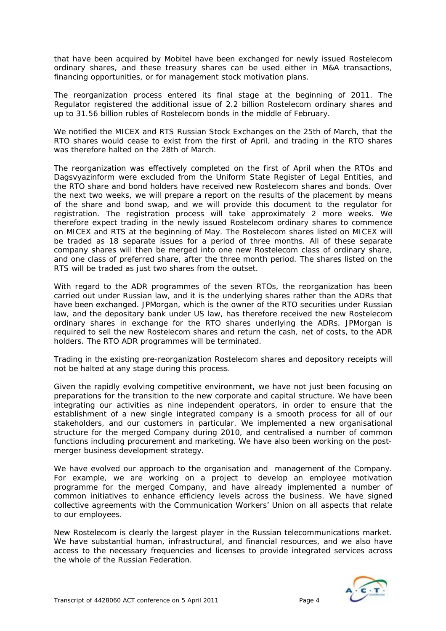that have been acquired by Mobitel have been exchanged for newly issued Rostelecom ordinary shares, and these treasury shares can be used either in M&A transactions, financing opportunities, or for management stock motivation plans.

The reorganization process entered its final stage at the beginning of 2011. The Regulator registered the additional issue of 2.2 billion Rostelecom ordinary shares and up to 31.56 billion rubles of Rostelecom bonds in the middle of February.

We notified the MICEX and RTS Russian Stock Exchanges on the 25th of March, that the RTO shares would cease to exist from the first of April, and trading in the RTO shares was therefore halted on the 28th of March.

The reorganization was effectively completed on the first of April when the RTOs and Dagsvyazinform were excluded from the Uniform State Register of Legal Entities, and the RTO share and bond holders have received new Rostelecom shares and bonds. Over the next two weeks, we will prepare a report on the results of the placement by means of the share and bond swap, and we will provide this document to the regulator for registration. The registration process will take approximately 2 more weeks. We therefore expect trading in the newly issued Rostelecom ordinary shares to commence on MICEX and RTS at the beginning of May. The Rostelecom shares listed on MICEX will be traded as 18 separate issues for a period of three months. All of these separate company shares will then be merged into one new Rostelecom class of ordinary share, and one class of preferred share, after the three month period. The shares listed on the RTS will be traded as just two shares from the outset.

With regard to the ADR programmes of the seven RTOs, the reorganization has been carried out under Russian law, and it is the underlying shares rather than the ADRs that have been exchanged. JPMorgan, which is the owner of the RTO securities under Russian law, and the depositary bank under US law, has therefore received the new Rostelecom ordinary shares in exchange for the RTO shares underlying the ADRs. JPMorgan is required to sell the new Rostelecom shares and return the cash, net of costs, to the ADR holders. The RTO ADR programmes will be terminated.

Trading in the existing pre-reorganization Rostelecom shares and depository receipts will not be halted at any stage during this process.

Given the rapidly evolving competitive environment, we have not just been focusing on preparations for the transition to the new corporate and capital structure. We have been integrating our activities as nine independent operators, in order to ensure that the establishment of a new single integrated company is a smooth process for all of our stakeholders, and our customers in particular. We implemented a new organisational structure for the merged Company during 2010, and centralised a number of common functions including procurement and marketing. We have also been working on the postmerger business development strategy.

We have evolved our approach to the organisation and management of the Company. For example, we are working on a project to develop an employee motivation programme for the merged Company, and have already implemented a number of common initiatives to enhance efficiency levels across the business. We have signed collective agreements with the Communication Workers' Union on all aspects that relate to our employees.

New Rostelecom is clearly the largest player in the Russian telecommunications market. We have substantial human, infrastructural, and financial resources, and we also have access to the necessary frequencies and licenses to provide integrated services across the whole of the Russian Federation.

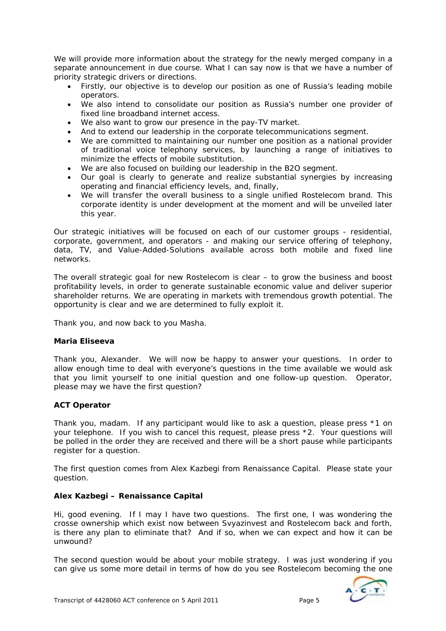We will provide more information about the strategy for the newly merged company in a separate announcement in due course. What I can say now is that we have a number of priority strategic drivers or directions.

- Firstly, our objective is to develop our position as one of Russia's leading mobile operators.
- We also intend to consolidate our position as Russia's number one provider of fixed line broadband internet access.
- We also want to grow our presence in the pay-TV market.
- And to extend our leadership in the corporate telecommunications segment.
- We are committed to maintaining our number one position as a national provider of traditional voice telephony services, by launching a range of initiatives to minimize the effects of mobile substitution.
- We are also focused on building our leadership in the B2O segment.
- Our goal is clearly to generate and realize substantial synergies by increasing operating and financial efficiency levels, and, finally,
- We will transfer the overall business to a single unified Rostelecom brand. This corporate identity is under development at the moment and will be unveiled later this year.

Our strategic initiatives will be focused on each of our customer groups - residential, corporate, government, and operators - and making our service offering of telephony, data, TV, and Value-Added-Solutions available across both mobile and fixed line networks.

The overall strategic goal for new Rostelecom is clear – to grow the business and boost profitability levels, in order to generate sustainable economic value and deliver superior shareholder returns. We are operating in markets with tremendous growth potential. The opportunity is clear and we are determined to fully exploit it.

Thank you, and now back to you Masha.

## **Maria Eliseeva**

Thank you, Alexander. We will now be happy to answer your questions. In order to allow enough time to deal with everyone's questions in the time available we would ask that you limit yourself to one initial question and one follow-up question. Operator, please may we have the first question?

## **ACT Operator**

Thank you, madam. If any participant would like to ask a question, please press \*1 on your telephone. If you wish to cancel this request, please press \*2. Your questions will be polled in the order they are received and there will be a short pause while participants register for a question.

The first question comes from Alex Kazbegi from Renaissance Capital. Please state your question.

## **Alex Kazbegi – Renaissance Capital**

Hi, good evening. If I may I have two questions. The first one, I was wondering the crosse ownership which exist now between Svyazinvest and Rostelecom back and forth, is there any plan to eliminate that? And if so, when we can expect and how it can be unwound?

The second question would be about your mobile strategy. I was just wondering if you can give us some more detail in terms of how do you see Rostelecom becoming the one

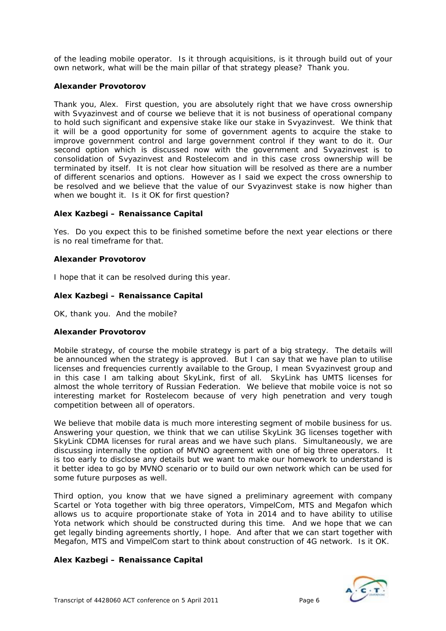of the leading mobile operator. Is it through acquisitions, is it through build out of your own network, what will be the main pillar of that strategy please? Thank you.

## **Alexander Provotorov**

Thank you, Alex. First question, you are absolutely right that we have cross ownership with Svyazinvest and of course we believe that it is not business of operational company to hold such significant and expensive stake like our stake in Svyazinvest. We think that it will be a good opportunity for some of government agents to acquire the stake to improve government control and large government control if they want to do it. Our second option which is discussed now with the government and Svyazinvest is to consolidation of Svyazinvest and Rostelecom and in this case cross ownership will be terminated by itself. It is not clear how situation will be resolved as there are a number of different scenarios and options. However as I said we expect the cross ownership to be resolved and we believe that the value of our Svyazinvest stake is now higher than when we bought it. Is it OK for first question?

## **Alex Kazbegi – Renaissance Capital**

Yes. Do you expect this to be finished sometime before the next year elections or there is no real timeframe for that.

## **Alexander Provotorov**

I hope that it can be resolved during this year.

## **Alex Kazbegi – Renaissance Capital**

OK, thank you. And the mobile?

## **Alexander Provotorov**

Mobile strategy, of course the mobile strategy is part of a big strategy. The details will be announced when the strategy is approved. But I can say that we have plan to utilise licenses and frequencies currently available to the Group, I mean Svyazinvest group and in this case I am talking about SkyLink, first of all. SkyLink has UMTS licenses for almost the whole territory of Russian Federation. We believe that mobile voice is not so interesting market for Rostelecom because of very high penetration and very tough competition between all of operators.

We believe that mobile data is much more interesting segment of mobile business for us. Answering your question, we think that we can utilise SkyLink 3G licenses together with SkyLink CDMA licenses for rural areas and we have such plans. Simultaneously, we are discussing internally the option of MVNO agreement with one of big three operators. It is too early to disclose any details but we want to make our homework to understand is it better idea to go by MVNO scenario or to build our own network which can be used for some future purposes as well.

Third option, you know that we have signed a preliminary agreement with company Scartel or Yota together with big three operators, VimpelCom, MTS and Megafon which allows us to acquire proportionate stake of Yota in 2014 and to have ability to utilise Yota network which should be constructed during this time. And we hope that we can get legally binding agreements shortly, I hope. And after that we can start together with Megafon, MTS and VimpelCom start to think about construction of 4G network. Is it OK.

## **Alex Kazbegi – Renaissance Capital**

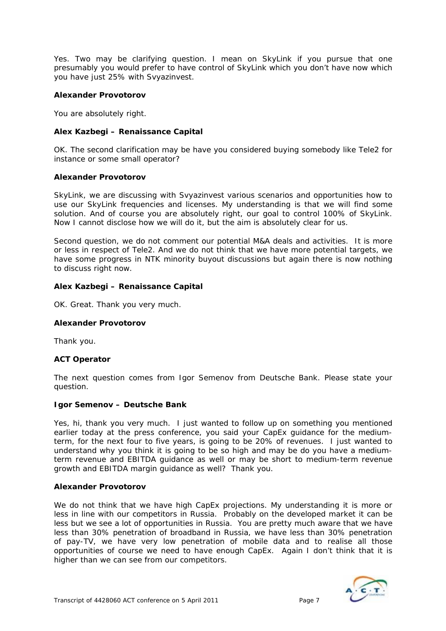Yes. Two may be clarifying question. I mean on SkyLink if you pursue that one presumably you would prefer to have control of SkyLink which you don't have now which you have just 25% with Svyazinvest.

## **Alexander Provotorov**

You are absolutely right.

## **Alex Kazbegi – Renaissance Capital**

OK. The second clarification may be have you considered buying somebody like Tele2 for instance or some small operator?

## **Alexander Provotorov**

SkyLink, we are discussing with Svyazinvest various scenarios and opportunities how to use our SkyLink frequencies and licenses. My understanding is that we will find some solution. And of course you are absolutely right, our goal to control 100% of SkyLink. Now I cannot disclose how we will do it, but the aim is absolutely clear for us.

Second question, we do not comment our potential M&A deals and activities. It is more or less in respect of Tele2. And we do not think that we have more potential targets, we have some progress in NTK minority buyout discussions but again there is now nothing to discuss right now.

## **Alex Kazbegi – Renaissance Capital**

OK. Great. Thank you very much.

## **Alexander Provotorov**

Thank you.

## **ACT Operator**

The next question comes from Igor Semenov from Deutsche Bank. Please state your question.

## **Igor Semenov – Deutsche Bank**

Yes, hi, thank you very much. I just wanted to follow up on something you mentioned earlier today at the press conference, you said your CapEx guidance for the mediumterm, for the next four to five years, is going to be 20% of revenues. I just wanted to understand why you think it is going to be so high and may be do you have a mediumterm revenue and EBITDA guidance as well or may be short to medium-term revenue growth and EBITDA margin guidance as well? Thank you.

## **Alexander Provotorov**

We do not think that we have high CapEx projections. My understanding it is more or less in line with our competitors in Russia. Probably on the developed market it can be less but we see a lot of opportunities in Russia. You are pretty much aware that we have less than 30% penetration of broadband in Russia, we have less than 30% penetration of pay-TV, we have very low penetration of mobile data and to realise all those opportunities of course we need to have enough CapEx. Again I don't think that it is higher than we can see from our competitors.

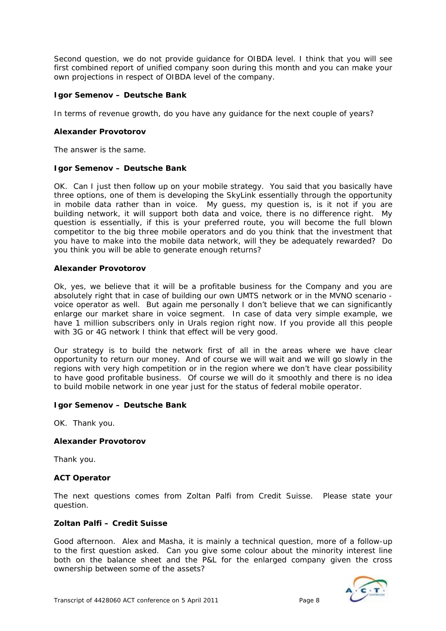Second question, we do not provide guidance for OIBDA level. I think that you will see first combined report of unified company soon during this month and you can make your own projections in respect of OIBDA level of the company.

## **Igor Semenov – Deutsche Bank**

In terms of revenue growth, do you have any guidance for the next couple of years?

## **Alexander Provotorov**

The answer is the same.

## **Igor Semenov – Deutsche Bank**

OK. Can I just then follow up on your mobile strategy. You said that you basically have three options, one of them is developing the SkyLink essentially through the opportunity in mobile data rather than in voice. My guess, my question is, is it not if you are building network, it will support both data and voice, there is no difference right. My question is essentially, if this is your preferred route, you will become the full blown competitor to the big three mobile operators and do you think that the investment that you have to make into the mobile data network, will they be adequately rewarded? Do you think you will be able to generate enough returns?

## **Alexander Provotorov**

Ok, yes, we believe that it will be a profitable business for the Company and you are absolutely right that in case of building our own UMTS network or in the MVNO scenario voice operator as well. But again me personally I don't believe that we can significantly enlarge our market share in voice segment. In case of data very simple example, we have 1 million subscribers only in Urals region right now. If you provide all this people with 3G or 4G network I think that effect will be very good.

Our strategy is to build the network first of all in the areas where we have clear opportunity to return our money. And of course we will wait and we will go slowly in the regions with very high competition or in the region where we don't have clear possibility to have good profitable business. Of course we will do it smoothly and there is no idea to build mobile network in one year just for the status of federal mobile operator.

## **Igor Semenov – Deutsche Bank**

OK. Thank you.

## **Alexander Provotorov**

Thank you.

## **ACT Operator**

The next questions comes from Zoltan Palfi from Credit Suisse. Please state your question.

## **Zoltan Palfi – Credit Suisse**

Good afternoon. Alex and Masha, it is mainly a technical question, more of a follow-up to the first question asked. Can you give some colour about the minority interest line both on the balance sheet and the P&L for the enlarged company given the cross ownership between some of the assets?

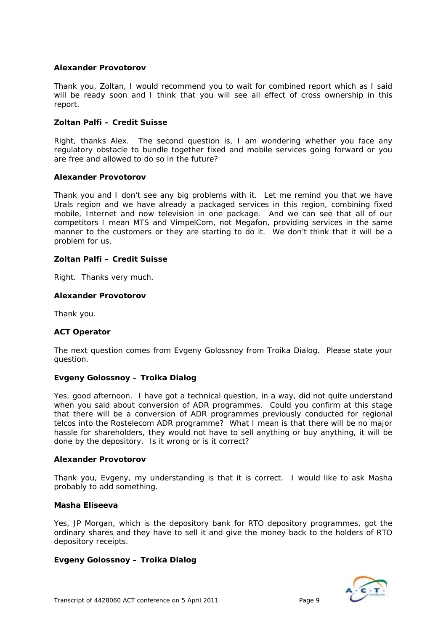## **Alexander Provotorov**

Thank you, Zoltan, I would recommend you to wait for combined report which as I said will be ready soon and I think that you will see all effect of cross ownership in this report.

## **Zoltan Palfi – Credit Suisse**

Right, thanks Alex. The second question is, I am wondering whether you face any regulatory obstacle to bundle together fixed and mobile services going forward or you are free and allowed to do so in the future?

## **Alexander Provotorov**

Thank you and I don't see any big problems with it. Let me remind you that we have Urals region and we have already a packaged services in this region, combining fixed mobile, Internet and now television in one package. And we can see that all of our competitors I mean MTS and VimpelCom, not Megafon, providing services in the same manner to the customers or they are starting to do it. We don't think that it will be a problem for us.

## **Zoltan Palfi – Credit Suisse**

Right. Thanks very much.

## **Alexander Provotorov**

Thank you.

## **ACT Operator**

The next question comes from Evgeny Golossnoy from Troika Dialog. Please state your question.

## **Evgeny Golossnoy – Troika Dialog**

Yes, good afternoon. I have got a technical question, in a way, did not quite understand when you said about conversion of ADR programmes. Could you confirm at this stage that there will be a conversion of ADR programmes previously conducted for regional telcos into the Rostelecom ADR programme? What I mean is that there will be no major hassle for shareholders, they would not have to sell anything or buy anything, it will be done by the depository. Is it wrong or is it correct?

## **Alexander Provotorov**

Thank you, Evgeny, my understanding is that it is correct. I would like to ask Masha probably to add something.

## **Masha Eliseeva**

Yes, JP Morgan, which is the depository bank for RTO depository programmes, got the ordinary shares and they have to sell it and give the money back to the holders of RTO depository receipts.

## **Evgeny Golossnoy – Troika Dialog**

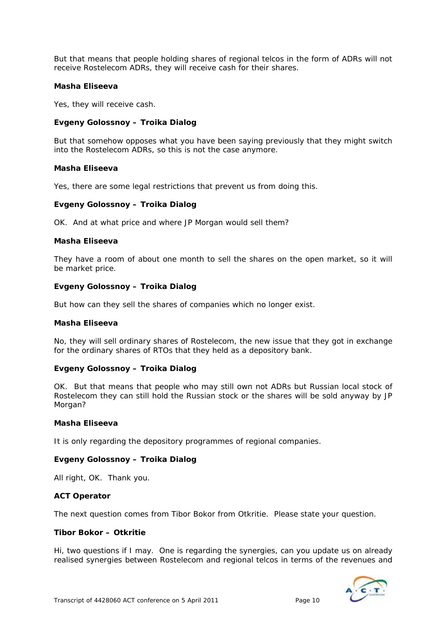But that means that people holding shares of regional telcos in the form of ADRs will not receive Rostelecom ADRs, they will receive cash for their shares.

## **Masha Eliseeva**

Yes, they will receive cash.

## **Evgeny Golossnoy – Troika Dialog**

But that somehow opposes what you have been saying previously that they might switch into the Rostelecom ADRs, so this is not the case anymore.

#### **Masha Eliseeva**

Yes, there are some legal restrictions that prevent us from doing this.

## **Evgeny Golossnoy – Troika Dialog**

OK. And at what price and where JP Morgan would sell them?

## **Masha Eliseeva**

They have a room of about one month to sell the shares on the open market, so it will be market price.

#### **Evgeny Golossnoy – Troika Dialog**

But how can they sell the shares of companies which no longer exist.

#### **Masha Eliseeva**

No, they will sell ordinary shares of Rostelecom, the new issue that they got in exchange for the ordinary shares of RTOs that they held as a depository bank.

## **Evgeny Golossnoy – Troika Dialog**

OK. But that means that people who may still own not ADRs but Russian local stock of Rostelecom they can still hold the Russian stock or the shares will be sold anyway by JP Morgan?

## **Masha Eliseeva**

It is only regarding the depository programmes of regional companies.

## **Evgeny Golossnoy – Troika Dialog**

All right, OK. Thank you.

## **ACT Operator**

The next question comes from Tibor Bokor from Otkritie. Please state your question.

#### **Tibor Bokor – Otkritie**

Hi, two questions if I may. One is regarding the synergies, can you update us on already realised synergies between Rostelecom and regional telcos in terms of the revenues and

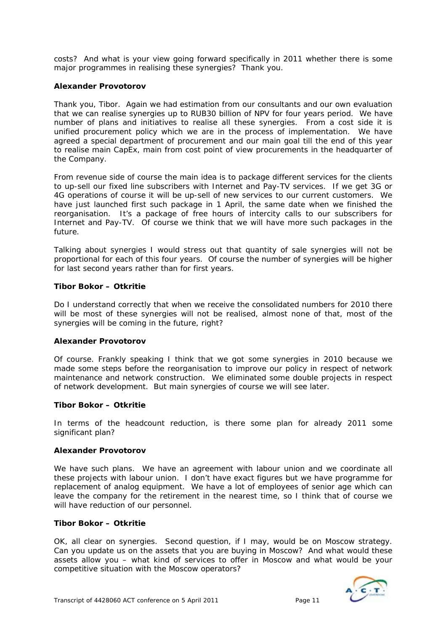costs? And what is your view going forward specifically in 2011 whether there is some major programmes in realising these synergies? Thank you.

## **Alexander Provotorov**

Thank you, Tibor. Again we had estimation from our consultants and our own evaluation that we can realise synergies up to RUB30 billion of NPV for four years period. We have number of plans and initiatives to realise all these synergies. From a cost side it is unified procurement policy which we are in the process of implementation. We have agreed a special department of procurement and our main goal till the end of this year to realise main CapEx, main from cost point of view procurements in the headquarter of the Company.

From revenue side of course the main idea is to package different services for the clients to up-sell our fixed line subscribers with Internet and Pay-TV services. If we get 3G or 4G operations of course it will be up-sell of new services to our current customers. We have just launched first such package in 1 April, the same date when we finished the reorganisation. It's a package of free hours of intercity calls to our subscribers for Internet and Pay-TV. Of course we think that we will have more such packages in the future.

Talking about synergies I would stress out that quantity of sale synergies will not be proportional for each of this four years. Of course the number of synergies will be higher for last second years rather than for first years.

## **Tibor Bokor – Otkritie**

Do I understand correctly that when we receive the consolidated numbers for 2010 there will be most of these synergies will not be realised, almost none of that, most of the synergies will be coming in the future, right?

## **Alexander Provotorov**

Of course. Frankly speaking I think that we got some synergies in 2010 because we made some steps before the reorganisation to improve our policy in respect of network maintenance and network construction. We eliminated some double projects in respect of network development. But main synergies of course we will see later.

## **Tibor Bokor – Otkritie**

In terms of the headcount reduction, is there some plan for already 2011 some significant plan?

## **Alexander Provotorov**

We have such plans. We have an agreement with labour union and we coordinate all these projects with labour union. I don't have exact figures but we have programme for replacement of analog equipment. We have a lot of employees of senior age which can leave the company for the retirement in the nearest time, so I think that of course we will have reduction of our personnel.

#### **Tibor Bokor – Otkritie**

OK, all clear on synergies. Second question, if I may, would be on Moscow strategy. Can you update us on the assets that you are buying in Moscow? And what would these assets allow you – what kind of services to offer in Moscow and what would be your competitive situation with the Moscow operators?

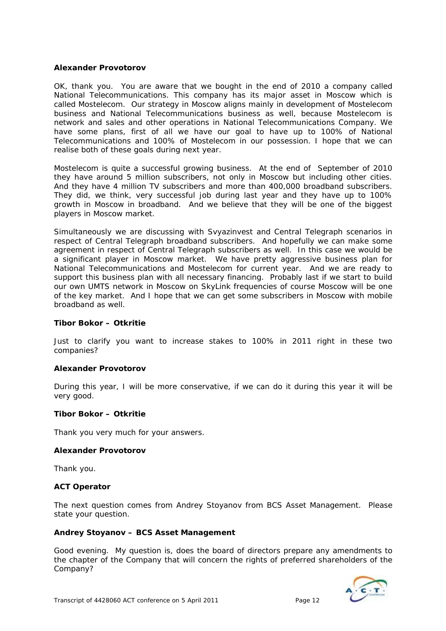## **Alexander Provotorov**

OK, thank you. You are aware that we bought in the end of 2010 a company called National Telecommunications. This company has its major asset in Moscow which is called Mostelecom. Our strategy in Moscow aligns mainly in development of Mostelecom business and National Telecommunications business as well, because Mostelecom is network and sales and other operations in National Telecommunications Company. We have some plans, first of all we have our goal to have up to 100% of National Telecommunications and 100% of Mostelecom in our possession. I hope that we can realise both of these goals during next year.

Mostelecom is quite a successful growing business. At the end of September of 2010 they have around 5 million subscribers, not only in Moscow but including other cities. And they have 4 million TV subscribers and more than 400,000 broadband subscribers. They did, we think, very successful job during last year and they have up to 100% growth in Moscow in broadband. And we believe that they will be one of the biggest players in Moscow market.

Simultaneously we are discussing with Svyazinvest and Central Telegraph scenarios in respect of Central Telegraph broadband subscribers. And hopefully we can make some agreement in respect of Central Telegraph subscribers as well. In this case we would be a significant player in Moscow market. We have pretty aggressive business plan for National Telecommunications and Mostelecom for current year. And we are ready to support this business plan with all necessary financing. Probably last if we start to build our own UMTS network in Moscow on SkyLink frequencies of course Moscow will be one of the key market. And I hope that we can get some subscribers in Moscow with mobile broadband as well.

#### **Tibor Bokor – Otkritie**

Just to clarify you want to increase stakes to 100% in 2011 right in these two companies?

#### **Alexander Provotorov**

During this year, I will be more conservative, if we can do it during this year it will be very good.

#### **Tibor Bokor – Otkritie**

Thank you very much for your answers.

#### **Alexander Provotorov**

Thank you.

#### **ACT Operator**

The next question comes from Andrey Stoyanov from BCS Asset Management. Please state your question.

#### **Andrey Stoyanov – BCS Asset Management**

Good evening. My question is, does the board of directors prepare any amendments to the chapter of the Company that will concern the rights of preferred shareholders of the Company?

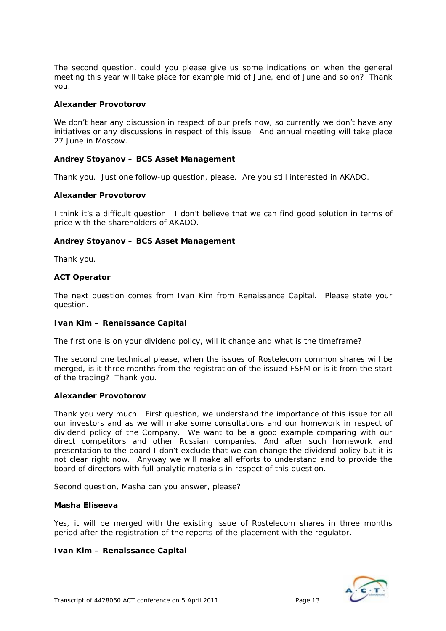The second question, could you please give us some indications on when the general meeting this year will take place for example mid of June, end of June and so on? Thank you.

## **Alexander Provotorov**

We don't hear any discussion in respect of our prefs now, so currently we don't have any initiatives or any discussions in respect of this issue. And annual meeting will take place 27 June in Moscow.

## **Andrey Stoyanov – BCS Asset Management**

Thank you. Just one follow-up question, please. Are you still interested in AKADO.

#### **Alexander Provotorov**

I think it's a difficult question. I don't believe that we can find good solution in terms of price with the shareholders of AKADO.

#### **Andrey Stoyanov – BCS Asset Management**

Thank you.

#### **ACT Operator**

The next question comes from Ivan Kim from Renaissance Capital. Please state your question.

#### **Ivan Kim – Renaissance Capital**

The first one is on your dividend policy, will it change and what is the timeframe?

The second one technical please, when the issues of Rostelecom common shares will be merged, is it three months from the registration of the issued FSFM or is it from the start of the trading? Thank you.

#### **Alexander Provotorov**

Thank you very much. First question, we understand the importance of this issue for all our investors and as we will make some consultations and our homework in respect of dividend policy of the Company. We want to be a good example comparing with our direct competitors and other Russian companies. And after such homework and presentation to the board I don't exclude that we can change the dividend policy but it is not clear right now. Anyway we will make all efforts to understand and to provide the board of directors with full analytic materials in respect of this question.

Second question, Masha can you answer, please?

#### **Masha Eliseeva**

Yes, it will be merged with the existing issue of Rostelecom shares in three months period after the registration of the reports of the placement with the regulator.

#### **Ivan Kim – Renaissance Capital**

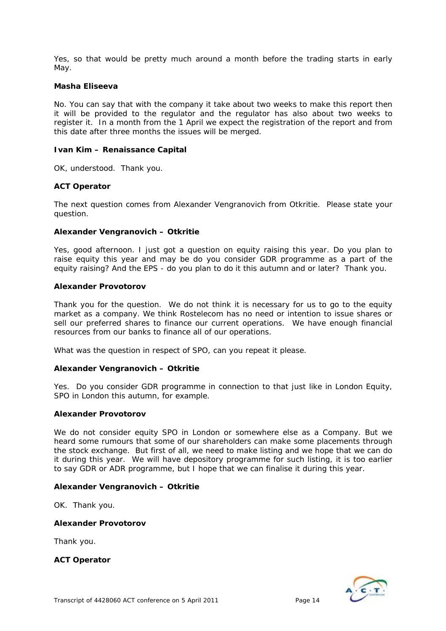Yes, so that would be pretty much around a month before the trading starts in early May.

#### **Masha Eliseeva**

No. You can say that with the company it take about two weeks to make this report then it will be provided to the regulator and the regulator has also about two weeks to register it. In a month from the 1 April we expect the registration of the report and from this date after three months the issues will be merged.

#### **Ivan Kim – Renaissance Capital**

OK, understood. Thank you.

#### **ACT Operator**

The next question comes from Alexander Vengranovich from Otkritie. Please state your question.

#### **Alexander Vengranovich – Otkritie**

Yes, good afternoon. I just got a question on equity raising this year. Do you plan to raise equity this year and may be do you consider GDR programme as a part of the equity raising? And the EPS - do you plan to do it this autumn and or later? Thank you.

#### **Alexander Provotorov**

Thank you for the question. We do not think it is necessary for us to go to the equity market as a company. We think Rostelecom has no need or intention to issue shares or sell our preferred shares to finance our current operations. We have enough financial resources from our banks to finance all of our operations.

What was the question in respect of SPO, can you repeat it please.

## **Alexander Vengranovich – Otkritie**

Yes. Do you consider GDR programme in connection to that just like in London Equity, SPO in London this autumn, for example.

#### **Alexander Provotorov**

We do not consider equity SPO in London or somewhere else as a Company. But we heard some rumours that some of our shareholders can make some placements through the stock exchange. But first of all, we need to make listing and we hope that we can do it during this year. We will have depository programme for such listing, it is too earlier to say GDR or ADR programme, but I hope that we can finalise it during this year.

## **Alexander Vengranovich – Otkritie**

OK. Thank you.

#### **Alexander Provotorov**

Thank you.

## **ACT Operator**

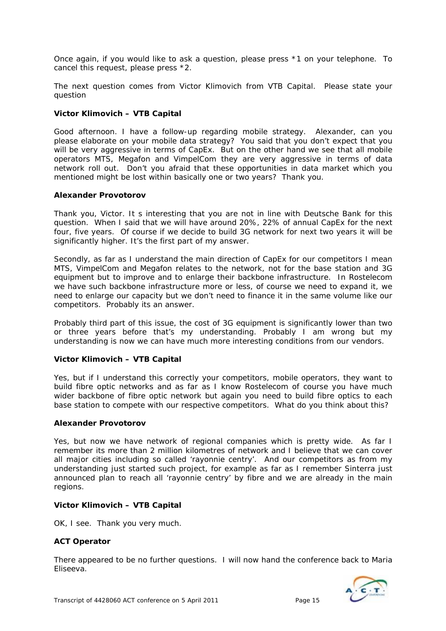Once again, if you would like to ask a question, please press \*1 on your telephone. To cancel this request, please press \*2.

The next question comes from Victor Klimovich from VTB Capital. Please state your question

## **Victor Klimovich – VTB Capital**

Good afternoon. I have a follow-up regarding mobile strategy. Alexander, can you please elaborate on your mobile data strategy? You said that you don't expect that you will be very aggressive in terms of CapEx. But on the other hand we see that all mobile operators MTS, Megafon and VimpelCom they are very aggressive in terms of data network roll out. Don't you afraid that these opportunities in data market which you mentioned might be lost within basically one or two years? Thank you.

## **Alexander Provotorov**

Thank you, Victor. It s interesting that you are not in line with Deutsche Bank for this question. When I said that we will have around 20%, 22% of annual CapEx for the next four, five years. Of course if we decide to build 3G network for next two years it will be significantly higher. It's the first part of my answer.

Secondly, as far as I understand the main direction of CapEx for our competitors I mean MTS, VimpelCom and Megafon relates to the network, not for the base station and 3G equipment but to improve and to enlarge their backbone infrastructure. In Rostelecom we have such backbone infrastructure more or less, of course we need to expand it, we need to enlarge our capacity but we don't need to finance it in the same volume like our competitors. Probably its an answer.

Probably third part of this issue, the cost of 3G equipment is significantly lower than two or three years before that's my understanding. Probably I am wrong but my understanding is now we can have much more interesting conditions from our vendors.

## **Victor Klimovich – VTB Capital**

Yes, but if I understand this correctly your competitors, mobile operators, they want to build fibre optic networks and as far as I know Rostelecom of course you have much wider backbone of fibre optic network but again you need to build fibre optics to each base station to compete with our respective competitors. What do you think about this?

## **Alexander Provotorov**

Yes, but now we have network of regional companies which is pretty wide. As far I remember its more than 2 million kilometres of network and I believe that we can cover all major cities including so called 'rayonnie centry'. And our competitors as from my understanding just started such project, for example as far as I remember Sinterra just announced plan to reach all 'rayonnie centry' by fibre and we are already in the main regions.

## **Victor Klimovich – VTB Capital**

OK, I see. Thank you very much.

## **ACT Operator**

There appeared to be no further questions. I will now hand the conference back to Maria Eliseeva.